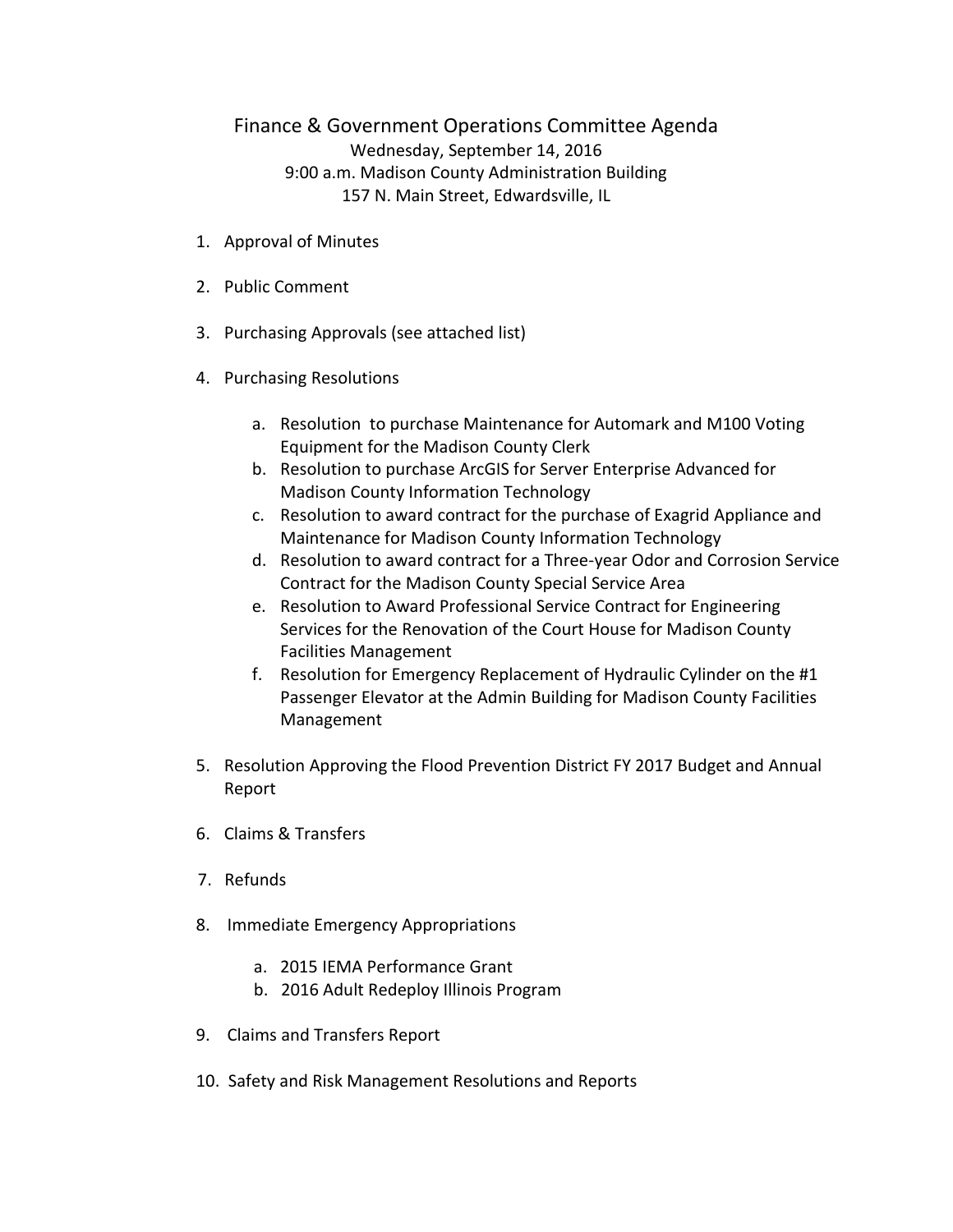## Finance & Government Operations Committee Agenda Wednesday, September 14, 2016 9:00 a.m. Madison County Administration Building 157 N. Main Street, Edwardsville, IL

- 1. Approval of Minutes
- 2. Public Comment
- 3. Purchasing Approvals (see attached list)
- 4. Purchasing Resolutions
	- a. Resolution to purchase Maintenance for Automark and M100 Voting Equipment for the Madison County Clerk
	- b. Resolution to purchase ArcGIS for Server Enterprise Advanced for Madison County Information Technology
	- c. Resolution to award contract for the purchase of Exagrid Appliance and Maintenance for Madison County Information Technology
	- d. Resolution to award contract for a Three-year Odor and Corrosion Service Contract for the Madison County Special Service Area
	- e. Resolution to Award Professional Service Contract for Engineering Services for the Renovation of the Court House for Madison County Facilities Management
	- f. Resolution for Emergency Replacement of Hydraulic Cylinder on the #1 Passenger Elevator at the Admin Building for Madison County Facilities Management
- 5. Resolution Approving the Flood Prevention District FY 2017 Budget and Annual Report
- 6. Claims & Transfers
- 7. Refunds
- 8. Immediate Emergency Appropriations
	- a. 2015 IEMA Performance Grant
	- b. 2016 Adult Redeploy Illinois Program
- 9. Claims and Transfers Report
- 10. Safety and Risk Management Resolutions and Reports